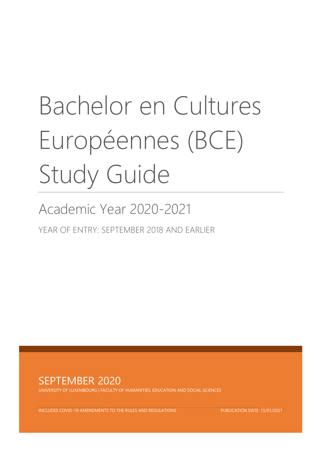# Bachelor en Cultures Européennes (BCE) Study Guide

# Academic Year 2020-2021

YEAR OF ENTRY: SEPTEMBER 2018 AND EARLIER



UNIVERSITY OF LUXEMBOURG | FACULTY OF HUMANITIES, EDUCATION AND SOCIAL SCIENCES

INCLUDES COVID-19 AMENDMENTS TO THE RULES AND REGULATIONS PUBLICATION DATE: 15/01/2021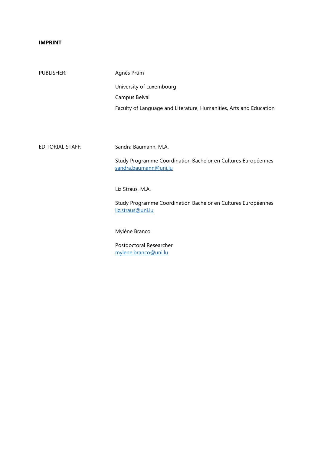#### **IMPRINT**

| PUBLISHER:              | Agnès Prüm                                                                             |
|-------------------------|----------------------------------------------------------------------------------------|
|                         | University of Luxembourg                                                               |
|                         | Campus Belval                                                                          |
|                         | Faculty of Language and Literature, Humanities, Arts and Education                     |
|                         |                                                                                        |
|                         |                                                                                        |
| <b>EDITORIAL STAFF:</b> | Sandra Baumann, M.A.                                                                   |
|                         | Study Programme Coordination Bachelor en Cultures Européennes<br>sandra.baumann@uni.lu |
|                         | Liz Straus, M.A.                                                                       |
|                         | Study Programme Coordination Bachelor en Cultures Européennes<br>liz.straus@uni.lu     |
|                         | Mylène Branco                                                                          |

Postdoctoral Researcher [mylene.branco@uni.lu](mailto:mylene.branco@uni.lu)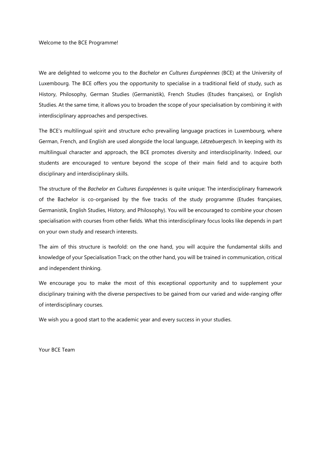#### Welcome to the BCE Programme!

We are delighted to welcome you to the *Bachelor en Cultures Européennes* (BCE) at the University of Luxembourg. The BCE offers you the opportunity to specialise in a traditional field of study, such as History, Philosophy, German Studies (Germanistik), French Studies (Etudes françaises), or English Studies. At the same time, it allows you to broaden the scope of your specialisation by combining it with interdisciplinary approaches and perspectives.

The BCE's multilingual spirit and structure echo prevailing language practices in Luxembourg, where German, French, and English are used alongside the local language, *Lëtzebuergesch*. In keeping with its multilingual character and approach, the BCE promotes diversity and interdisciplinarity. Indeed, our students are encouraged to venture beyond the scope of their main field and to acquire both disciplinary and interdisciplinary skills.

The structure of the *Bachelor en Cultures Européennes* is quite unique: The interdisciplinary framework of the Bachelor is co-organised by the five tracks of the study programme (Etudes françaises, Germanistik, English Studies, History, and Philosophy). You will be encouraged to combine your chosen specialisation with courses from other fields. What this interdisciplinary focus looks like depends in part on your own study and research interests.

The aim of this structure is twofold: on the one hand, you will acquire the fundamental skills and knowledge of your Specialisation Track; on the other hand, you will be trained in communication, critical and independent thinking.

We encourage you to make the most of this exceptional opportunity and to supplement your disciplinary training with the diverse perspectives to be gained from our varied and wide-ranging offer of interdisciplinary courses.

We wish you a good start to the academic year and every success in your studies.

Your BCE Team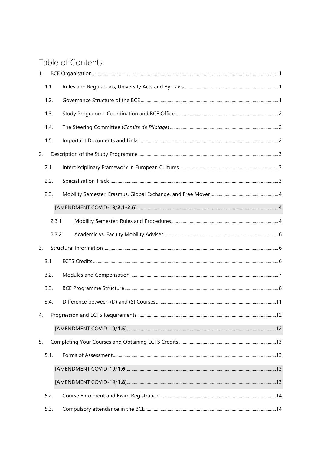# Table of Contents

| 1. |      |        |  |
|----|------|--------|--|
|    | 1.1. |        |  |
|    | 1.2. |        |  |
|    | 1.3. |        |  |
|    | 1.4. |        |  |
|    | 1.5. |        |  |
| 2. |      |        |  |
|    | 2.1. |        |  |
|    | 2.2. |        |  |
|    | 2.3. |        |  |
|    |      |        |  |
|    |      | 2.3.1  |  |
|    |      | 2.3.2. |  |
| 3. |      |        |  |
|    |      |        |  |
|    | 3.1  |        |  |
|    | 3.2. |        |  |
|    | 3.3. |        |  |
|    | 3.4. |        |  |
| 4. |      |        |  |
|    |      |        |  |
| 5. |      |        |  |
|    | 5.1. |        |  |
|    |      |        |  |
|    |      |        |  |
|    | 5.2. |        |  |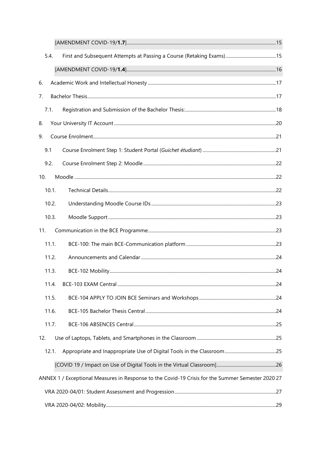|     | 5.4.  |                                                                                                   |  |
|-----|-------|---------------------------------------------------------------------------------------------------|--|
|     |       |                                                                                                   |  |
| 6.  |       |                                                                                                   |  |
| 7.  |       |                                                                                                   |  |
|     | 7.1.  |                                                                                                   |  |
| 8.  |       |                                                                                                   |  |
| 9.  |       |                                                                                                   |  |
|     | 9.1   |                                                                                                   |  |
|     | 9.2.  |                                                                                                   |  |
| 10. |       |                                                                                                   |  |
|     | 10.1. |                                                                                                   |  |
|     | 10.2. |                                                                                                   |  |
|     | 10.3. |                                                                                                   |  |
| 11. |       |                                                                                                   |  |
|     | 11.1. |                                                                                                   |  |
|     | 11.2. |                                                                                                   |  |
|     | 11.3. |                                                                                                   |  |
|     | 11.4. |                                                                                                   |  |
|     | 11.5. |                                                                                                   |  |
|     | 11.6. |                                                                                                   |  |
|     | 11.7. |                                                                                                   |  |
| 12. |       |                                                                                                   |  |
|     | 12.1. |                                                                                                   |  |
|     |       |                                                                                                   |  |
|     |       | ANNEX 1 / Exceptional Measures in Response to the Covid-19 Crisis for the Summer Semester 2020 27 |  |
|     |       |                                                                                                   |  |
|     |       |                                                                                                   |  |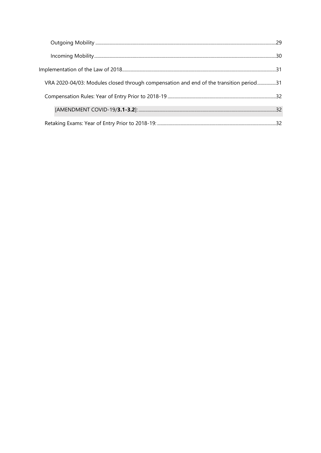| VRA 2020-04/03: Modules closed through compensation and end of the transition period31 |  |
|----------------------------------------------------------------------------------------|--|
|                                                                                        |  |
|                                                                                        |  |
|                                                                                        |  |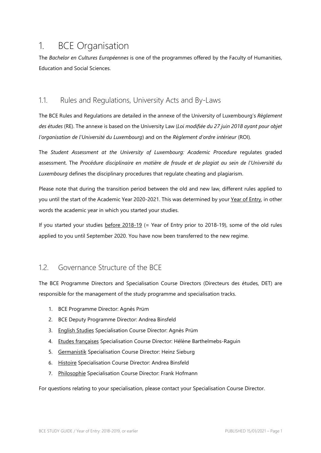# <span id="page-6-0"></span>1. BCE Organisation

The *Bachelor en Cultures Européennes* is one of the programmes offered by the Faculty of Humanities, Education and Social Sciences.

### <span id="page-6-1"></span>1.1. Rules and Regulations, University Acts and By-Laws

The BCE Rules and Regulations are detailed in the annexe of the University of Luxembourg's *Règlement des études* (RE). The annexe is based on the University Law (*Loi modifiée du 27 juin 2018 ayant pour objet l'organisation de l'Université du Luxembourg*) and on the *Règlement d'ordre intérieur* (ROI)*.*

The *Student Assessment at the University of Luxembourg: Academic Procedure* regulates graded assessment. The *Procédure disciplinaire en matière de fraude et de plagiat au sein de l'Université du Luxembourg* defines the disciplinary procedures that regulate cheating and plagiarism.

Please note that during the transition period between the old and new law, different rules applied to you until the start of the Academic Year 2020-2021. This was determined by your Year of Entry, in other words the academic year in which you started your studies.

If you started your studies before 2018-19 (= Year of Entry prior to 2018-19), some of the old rules applied to you until September 2020. You have now been transferred to the new regime.

### <span id="page-6-2"></span>1.2. Governance Structure of the BCE

The BCE Programme Directors and Specialisation Course Directors (Directeurs des études, DET) are responsible for the management of the study programme and specialisation tracks.

- 1. BCE Programme Director: Agnès Prüm
- 2. BCE Deputy Programme Director: Andrea Binsfeld
- 3. English Studies Specialisation Course Director: Agnès Prüm
- 4. Etudes françaises Specialisation Course Director: Hélène Barthelmebs-Raguin
- 5. Germanistik Specialisation Course Director: Heinz Sieburg
- 6. Histoire Specialisation Course Director: Andrea Binsfeld
- 7. Philosophie Specialisation Course Director: Frank Hofmann

For questions relating to your specialisation, please contact your Specialisation Course Director.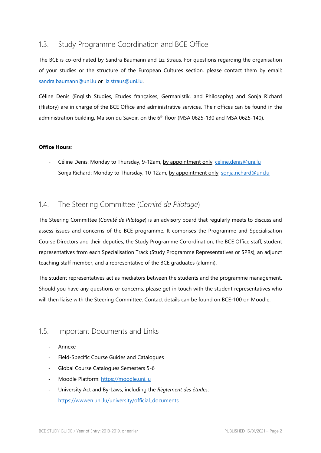### <span id="page-7-0"></span>1.3. Study Programme Coordination and BCE Office

The BCE is co-ordinated by Sandra Baumann and Liz Straus. For questions regarding the organisation of your studies or the structure of the European Cultures section, please contact them by email: [sandra.baumann@uni.lu](mailto:sandra.baumann@uni.lu) or [liz.straus@uni.lu.](mailto:liz.straus@uni.lu) 

Céline Denis (English Studies, Etudes françaises, Germanistik, and Philosophy) and Sonja Richard (History) are in charge of the BCE Office and administrative services. Their offices can be found in the administration building, Maison du Savoir, on the  $6<sup>th</sup>$  floor (MSA 0625-130 and MSA 0625-140).

#### **Office Hours**:

- Céline Denis: Monday to Thursday, 9-12am, by appointment only: [celine.denis@uni.lu](mailto:celine.denis@uni.lu)
- Sonja Richard: Monday to Thursday, 10-12am, by appointment only: [sonja.richard@uni.lu](mailto:sonja.richard@uni.lu)

### <span id="page-7-1"></span>1.4. The Steering Committee (*Comité de Pilotage*)

The Steering Committee (*Comité de Pilotage*) is an advisory board that regularly meets to discuss and assess issues and concerns of the BCE programme. It comprises the Programme and Specialisation Course Directors and their deputies, the Study Programme Co-ordination, the BCE Office staff, student representatives from each Specialisation Track (Study Programme Representatives or SPRs), an adjunct teaching staff member, and a representative of the BCE graduates (alumni).

The student representatives act as mediators between the students and the programme management. Should you have any questions or concerns, please get in touch with the student representatives who will then liaise with the Steering Committee. Contact details can be found on BCE-100 on Moodle.

### <span id="page-7-2"></span>1.5. Important Documents and Links

- Annexe
- Field-Specific Course Guides and Catalogues
- Global Course Catalogues Semesters 5-6
- Moodle Platform: https://moodle.uni.lu
- University Act and By-Laws, including the *Règlement des études*: [https://wwwen.uni.lu/university/official\\_documents](https://wwwen.uni.lu/university/official_documents)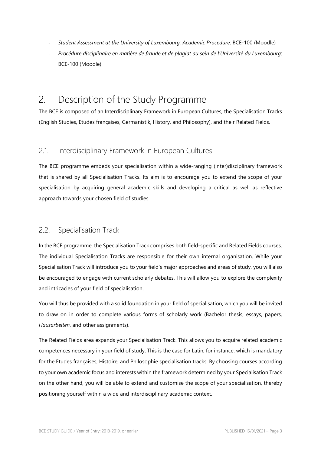- *Student Assessment at the University of Luxembourg: Academic Procedure*: BCE-100 (Moodle)
- *Procédure disciplinaire en matière de fraude et de plagiat au sein de l'Université du Luxembourg*: BCE-100 (Moodle)

# <span id="page-8-0"></span>2. Description of the Study Programme

The BCE is composed of an Interdisciplinary Framework in European Cultures, the Specialisation Tracks (English Studies, Etudes françaises, Germanistik, History, and Philosophy), and their Related Fields.

### <span id="page-8-1"></span>2.1. Interdisciplinary Framework in European Cultures

The BCE programme embeds your specialisation within a wide-ranging (inter)disciplinary framework that is shared by all Specialisation Tracks. Its aim is to encourage you to extend the scope of your specialisation by acquiring general academic skills and developing a critical as well as reflective approach towards your chosen field of studies.

### <span id="page-8-2"></span>2.2. Specialisation Track

In the BCE programme, the Specialisation Track comprises both field-specific and Related Fields courses. The individual Specialisation Tracks are responsible for their own internal organisation. While your Specialisation Track will introduce you to your field's major approaches and areas of study, you will also be encouraged to engage with current scholarly debates. This will allow you to explore the complexity and intricacies of your field of specialisation.

You will thus be provided with a solid foundation in your field of specialisation, which you will be invited to draw on in order to complete various forms of scholarly work (Bachelor thesis, essays, papers, *Hausarbeiten*, and other assignments).

The Related Fields area expands your Specialisation Track. This allows you to acquire related academic competences necessary in your field of study. This is the case for Latin, for instance, which is mandatory for the Etudes françaises, Histoire, and Philosophie specialisation tracks. By choosing courses according to your own academic focus and interests within the framework determined by your Specialisation Track on the other hand, you will be able to extend and customise the scope of your specialisation, thereby positioning yourself within a wide and interdisciplinary academic context.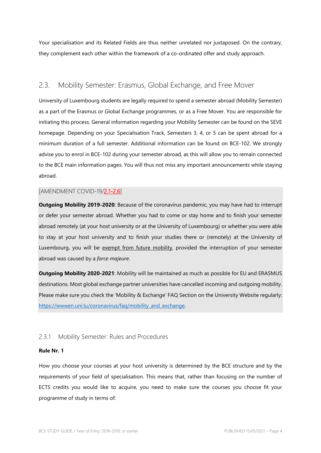Your specialisation and its Related Fields are thus neither unrelated nor juxtaposed. On the contrary, they complement each other within the framework of a co-ordinated offer and study approach.

### <span id="page-9-0"></span>2.3. Mobility Semester: Erasmus, Global Exchange, and Free Mover

University of Luxembourg students are legally required to spend a semester abroad (Mobility Semester) as a part of the Erasmus or Global Exchange programmes, or as a Free Mover. You are responsible for initiating this process. General information regarding your Mobility Semester can be found on the SEVE homepage. Depending on your Specialisation Track, Semesters 3, 4, or 5 can be spent abroad for a minimum duration of a full semester. Additional information can be found on BCE-102. We strongly advise you to enrol in BCE-102 during your semester abroad, as this will allow you to remain connected to the BCE main information pages. You will thus not miss any important announcements while staying abroad.

#### <span id="page-9-1"></span>[AMENDMENT COVID-19/2.1-2.6]

**Outgoing Mobility 2019-2020**: Because of the coronavirus pandemic, you may have had to interrupt or defer your semester abroad. Whether you had to come or stay home and to finish your semester abroad remotely (at your host university or at the University of Luxembourg) or whether you were able to stay at your host university and to finish your studies there or (remotely) at the University of Luxembourg, you will be exempt from future mobility, provided the interruption of your semester abroad was caused by a *force majeure*.

**Outgoing Mobility 2020-2021**: Mobility will be maintained as much as possible for EU and ERASMUS destinations. Most global exchange partner universities have cancelled incoming and outgoing mobility. Please make sure you check the 'Mobility & Exchange' FAQ Section on the University Website regularly: [https://wwwen.uni.lu/coronavirus/faq/mobility\\_and\\_exchange.](https://wwwen.uni.lu/coronavirus/faq/mobility_and_exchange) 

### <span id="page-9-2"></span>2.3.1 Mobility Semester: Rules and Procedures

#### **Rule Nr. 1**

How you choose your courses at your host university is determined by the BCE structure and by the requirements of your field of specialisation. This means that, rather than focusing on the number of ECTS credits you would like to acquire, you need to make sure the courses you choose fit your programme of study in terms of: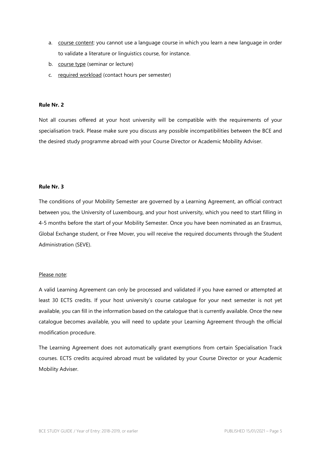- a. course content: you cannot use a language course in which you learn a new language in order to validate a literature or linguistics course, for instance.
- b. course type (seminar or lecture)
- c. required workload (contact hours per semester)

#### **Rule Nr. 2**

Not all courses offered at your host university will be compatible with the requirements of your specialisation track. Please make sure you discuss any possible incompatibilities between the BCE and the desired study programme abroad with your Course Director or Academic Mobility Adviser.

#### **Rule Nr. 3**

The conditions of your Mobility Semester are governed by a Learning Agreement, an official contract between you, the University of Luxembourg, and your host university, which you need to start filling in 4-5 months before the start of your Mobility Semester. Once you have been nominated as an Erasmus, Global Exchange student, or Free Mover, you will receive the required documents through the Student Administration (SEVE).

#### Please note:

A valid Learning Agreement can only be processed and validated if you have earned or attempted at least 30 ECTS credits. If your host university's course catalogue for your next semester is not yet available, you can fill in the information based on the catalogue that is currently available. Once the new catalogue becomes available, you will need to update your Learning Agreement through the official modification procedure.

The Learning Agreement does not automatically grant exemptions from certain Specialisation Track courses. ECTS credits acquired abroad must be validated by your Course Director or your Academic Mobility Adviser.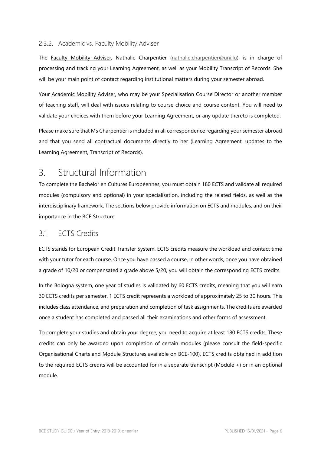#### <span id="page-11-0"></span>2.3.2. Academic vs. Faculty Mobility Adviser

The Faculty Mobility Adviser, Nathalie Charpentier [\(nathalie.charpentier@uni.lu\)](mailto:nathalie.charpentier@uni.lu), is in charge of processing and tracking your Learning Agreement, as well as your Mobility Transcript of Records. She will be your main point of contact regarding institutional matters during your semester abroad.

Your Academic Mobility Adviser, who may be your Specialisation Course Director or another member of teaching staff, will deal with issues relating to course choice and course content. You will need to validate your choices with them before your Learning Agreement, or any update thereto is completed.

Please make sure that Ms Charpentier is included in all correspondence regarding your semester abroad and that you send all contractual documents directly to her (Learning Agreement, updates to the Learning Agreement, Transcript of Records).

# <span id="page-11-1"></span>3. Structural Information

To complete the Bachelor en Cultures Européennes, you must obtain 180 ECTS and validate all required modules (compulsory and optional) in your specialisation, including the related fields, as well as the interdisciplinary framework. The sections below provide information on ECTS and modules, and on their importance in the BCE Structure.

### <span id="page-11-2"></span>3.1 ECTS Credits

ECTS stands for European Credit Transfer System. ECTS credits measure the workload and contact time with your tutor for each course. Once you have passed a course, in other words, once you have obtained a grade of 10/20 or compensated a grade above 5/20, you will obtain the corresponding ECTS credits.

In the Bologna system, one year of studies is validated by 60 ECTS credits, meaning that you will earn 30 ECTS credits per semester. 1 ECTS credit represents a workload of approximately 25 to 30 hours. This includes class attendance, and preparation and completion of task assignments. The credits are awarded once a student has completed and passed all their examinations and other forms of assessment.

To complete your studies and obtain your degree, you need to acquire at least 180 ECTS credits. These credits can only be awarded upon completion of certain modules (please consult the field-specific Organisational Charts and Module Structures available on BCE-100). ECTS credits obtained in addition to the required ECTS credits will be accounted for in a separate transcript (Module +) or in an optional module.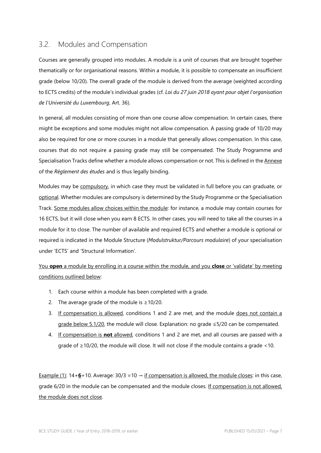### <span id="page-12-0"></span>3.2. Modules and Compensation

Courses are generally grouped into modules. A module is a unit of courses that are brought together thematically or for organisational reasons. Within a module, it is possible to compensate an insufficient grade (below 10/20). The overall grade of the module is derived from the average (weighted according to ECTS credits) of the module's individual grades (cf. *Loi du 27 juin 2018 ayant pour objet l'organisation de l'Université du Luxembourg*, Art. 36).

In general, all modules consisting of more than one course allow compensation. In certain cases, there might be exceptions and some modules might not allow compensation. A passing grade of 10/20 may also be required for one or more courses in a module that generally allows compensation. In this case, courses that do not require a passing grade may still be compensated. The Study Programme and Specialisation Tracks define whether a module allows compensation or not. This is defined in the Annexe of the *Règlement des études* and is thus legally binding.

Modules may be compulsory, in which case they must be validated in full before you can graduate, or optional. Whether modules are compulsory is determined by the Study Programme or the Specialisation Track. Some modules allow choices within the module: for instance, a module may contain courses for 16 ECTS, but it will close when you earn 8 ECTS. In other cases, you will need to take all the courses in a module for it to close. The number of available and required ECTS and whether a module is optional or required is indicated in the Module Structure (*Modulstruktur/Parcours modulaire*) of your specialisation under 'ECTS' and 'Structural Information'.

You **open** a module by enrolling in a course within the module, and you **close** or 'validate' by meeting conditions outlined below:

- 1. Each course within a module has been completed with a grade.
- 2. The average grade of the module is  $\geq$  10/20.
- 3. If compensation is allowed, conditions 1 and 2 are met, and the module does not contain a grade below 5.1/20, the module will close. Explanation: no grade ≤5/20 can be compensated.
- 4. If compensation is **not** allowed, conditions 1 and 2 are met, and all courses are passed with a grade of ≥10/20, the module will close. It will not close if the module contains a grade <10.

Example (1):  $14+6+10$ . Average:  $30/3 = 10 \rightarrow$  if compensation is allowed, the module closes: in this case, grade 6/20 in the module can be compensated and the module closes. If compensation is not allowed, the module does not close.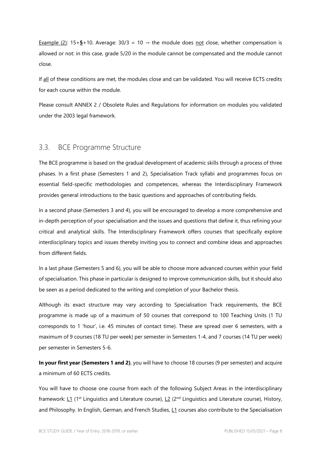Example (2):  $15+5+10$ . Average:  $30/3 = 10 \rightarrow$  the module does not close, whether compensation is allowed or not: in this case, grade 5/20 in the module cannot be compensated and the module cannot close.

If all of these conditions are met, the modules close and can be validated. You will receive ECTS credits for each course within the module.

Please consult ANNEX 2 / Obsolete Rules and Regulations for information on modules you validated under the 2003 legal framework.

### <span id="page-13-0"></span>3.3. BCE Programme Structure

The BCE programme is based on the gradual development of academic skills through a process of three phases. In a first phase (Semesters 1 and 2), Specialisation Track syllabi and programmes focus on essential field-specific methodologies and competences, whereas the Interdisciplinary Framework provides general introductions to the basic questions and approaches of contributing fields.

In a second phase (Semesters 3 and 4), you will be encouraged to develop a more comprehensive and in-depth perception of your specialisation and the issues and questions that define it, thus refining your critical and analytical skills. The Interdisciplinary Framework offers courses that specifically explore interdisciplinary topics and issues thereby inviting you to connect and combine ideas and approaches from different fields.

In a last phase (Semesters 5 and 6), you will be able to choose more advanced courses within your field of specialisation. This phase in particular is designed to improve communication skills, but it should also be seen as a period dedicated to the writing and completion of your Bachelor thesis.

Although its exact structure may vary according to Specialisation Track requirements, the BCE programme is made up of a maximum of 50 courses that correspond to 100 Teaching Units (1 TU corresponds to 1 'hour', i.e. 45 minutes of contact time). These are spread over 6 semesters, with a maximum of 9 courses (18 TU per week) per semester in Semesters 1-4, and 7 courses (14 TU per week) per semester in Semesters 5-6.

**In your first year (Semesters 1 and 2)**, you will have to choose 18 courses (9 per semester) and acquire a minimum of 60 ECTS credits.

You will have to choose one course from each of the following Subject Areas in the interdisciplinary framework:  $L1$  (1<sup>st</sup> Linguistics and Literature course),  $L2$  (2<sup>nd</sup> Linguistics and Literature course), History, and Philosophy. In English, German, and French Studies, L1 courses also contribute to the Specialisation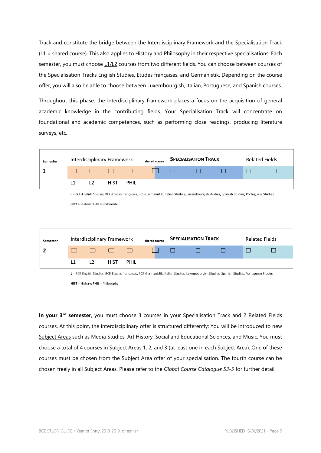Track and constitute the bridge between the Interdisciplinary Framework and the Specialisation Track  $(L1 =$  shared course). This also applies to History and Philosophy in their respective specialisations. Each semester, you must choose L1/L2 courses from two different fields. You can choose between courses of the Specialisation Tracks English Studies, Etudes françaises, and Germanistik. Depending on the course offer, you will also be able to choose between Luxembourgish, Italian, Portuguese, and Spanish courses.

Throughout this phase, the interdisciplinary framework places a focus on the acquisition of general academic knowledge in the contributing fields. Your Specialisation Track will concentrate on foundational and academic competences, such as performing close readings, producing literature surveys, etc.



L = BCE-English Studies, BCE-Etudes françaises, BCE-Germanistik, Italian Studies, Luxembourgish Studies, Spanish Studies, Portuguese Studies

HIST = History; PHIL = Philosophy

**In your 3rd semester**, you must choose 3 courses in your Specialisation Track and 2 Related Fields courses. At this point, the interdisciplinary offer is structured differently: You will be introduced to new Subject Areas such as Media Studies, Art History, Social and Educational Sciences, and Music. You must choose a total of 4 courses in Subject Areas 1, 2, and 3 (at least one in each Subject Area). One of these courses must be chosen from the Subject Area offer of your specialisation. The fourth course can be chosen freely in all Subject Areas. Please refer to the *Global Course Catalogue S3-5* for further detail.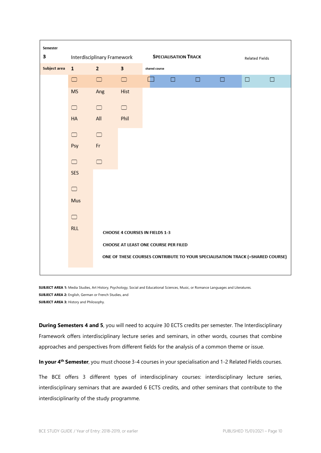

**SUBJECT AREA 1:** Media Studies, Art History, Psychology, Social and Educational Sciences, Music, or Romance Languages and Literatures. **SUBJECT AREA 2:** English, German or French Studies, and **SUBJECT AREA 3:** History and Philosophy.

**During Semesters 4 and 5**, you will need to acquire 30 ECTS credits per semester. The Interdisciplinary Framework offers interdisciplinary lecture series and seminars, in other words, courses that combine approaches and perspectives from different fields for the analysis of a common theme or issue.

**In your 4th Semester**, you must choose 3-4 courses in your specialisation and 1-2 Related Fields courses.

The BCE offers 3 different types of interdisciplinary courses: interdisciplinary lecture series, interdisciplinary seminars that are awarded 6 ECTS credits, and other seminars that contribute to the interdisciplinarity of the study programme.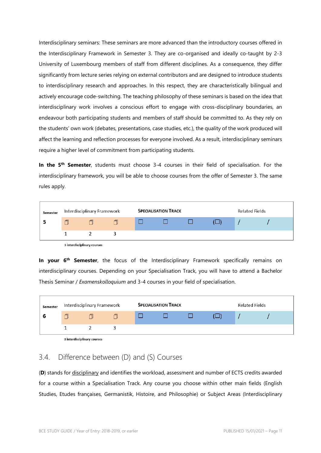Interdisciplinary seminars: These seminars are more advanced than the introductory courses offered in the Interdisciplinary Framework in Semester 3. They are co-organised and ideally co-taught by 2-3 University of Luxembourg members of staff from different disciplines. As a consequence, they differ significantly from lecture series relying on external contributors and are designed to introduce students to interdisciplinary research and approaches. In this respect, they are characteristically bilingual and actively encourage code-switching. The teaching philosophy of these seminars is based on the idea that interdisciplinary work involves a conscious effort to engage with cross-disciplinary boundaries, an endeavour both participating students and members of staff should be committed to. As they rely on the students' own work (debates, presentations, case studies, etc.), the quality of the work produced will affect the learning and reflection processes for everyone involved. As a result, interdisciplinary seminars require a higher level of commitment from participating students.

**In the 5th Semester**, students must choose 3-4 courses in their field of specialisation. For the interdisciplinary framework, you will be able to choose courses from the offer of Semester 3. The same rules apply.

| Semester | Interdisciplinary Framework |  | <b>SPECIALISATION TRACK</b> |  |  | <b>Related Fields</b> |  |  |
|----------|-----------------------------|--|-----------------------------|--|--|-----------------------|--|--|
|          |                             |  |                             |  |  |                       |  |  |
|          |                             |  |                             |  |  |                       |  |  |

3 interdisciplinary courses

**In your 6<sup>th</sup> Semester**, the focus of the Interdisciplinary Framework specifically remains on interdisciplinary courses. Depending on your Specialisation Track, you will have to attend a Bachelor Thesis Seminar / *Examenskolloquium* and 3-4 courses in your field of specialisation.



3 interdisciplinary courses

## <span id="page-16-0"></span>3.4. Difference between (D) and (S) Courses

(**D**) stands for disciplinary and identifies the workload, assessment and number of ECTS credits awarded for a course within a Specialisation Track. Any course you choose within other main fields (English Studies, Etudes françaises, Germanistik, Histoire, and Philosophie) or Subject Areas (Interdisciplinary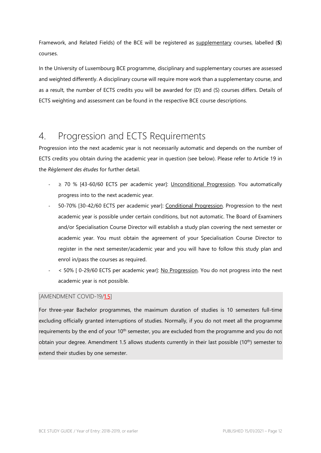Framework, and Related Fields) of the BCE will be registered as supplementary courses, labelled (**S**) courses.

In the University of Luxembourg BCE programme, disciplinary and supplementary courses are assessed and weighted differently. A disciplinary course will require more work than a supplementary course, and as a result, the number of ECTS credits you will be awarded for (D) and (S) courses differs. Details of ECTS weighting and assessment can be found in the respective BCE course descriptions.

# <span id="page-17-0"></span>4. Progression and ECTS Requirements

Progression into the next academic year is not necessarily automatic and depends on the number of ECTS credits you obtain during the academic year in question (see below). Please refer to Article 19 in the *Règlement des études* for further detail.

- ≥ 70 % [43-60/60 ECTS per academic year]: Unconditional Progression. You automatically progress into to the next academic year.
- 50-70% [30-42/60 ECTS per academic year]: Conditional Progression. Progression to the next academic year is possible under certain conditions, but not automatic. The Board of Examiners and/or Specialisation Course Director will establish a study plan covering the next semester or academic year. You must obtain the agreement of your Specialisation Course Director to register in the next semester/academic year and you will have to follow this study plan and enrol in/pass the courses as required.
- < 50% [ 0-29/60 ECTS per academic year]: No Progression. You do not progress into the next academic year is not possible.

### <span id="page-17-1"></span>[AMENDMENT COVID-19/1.5]

For three-year Bachelor programmes, the maximum duration of studies is 10 semesters full-time excluding officially granted interruptions of studies. Normally, if you do not meet all the programme requirements by the end of your 10<sup>th</sup> semester, you are excluded from the programme and you do not obtain your degree. Amendment 1.5 allows students currently in their last possible (10<sup>th</sup>) semester to extend their studies by one semester.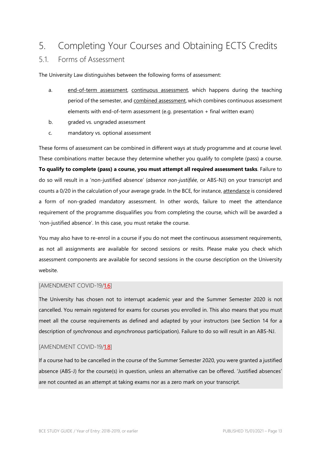# <span id="page-18-0"></span>5. Completing Your Courses and Obtaining ECTS Credits

### <span id="page-18-1"></span>5.1. Forms of Assessment

The University Law distinguishes between the following forms of assessment:

- a. end-of-term assessment, continuous assessment, which happens during the teaching period of the semester, and combined assessment, which combines continuous assessment elements with end-of-term assessment (e.g. presentation + final written exam)
- b. graded vs. ungraded assessment
- c. mandatory vs. optional assessment

These forms of assessment can be combined in different ways at study programme and at course level. These combinations matter because they determine whether you qualify to complete (pass) a course. **To qualify to complete (pass) a course, you must attempt all required assessment tasks**. Failure to do so will result in a 'non-justified absence' (*absence non-justifiée*, or ABS-NJ) on your transcript and counts a 0/20 in the calculation of your average grade. In the BCE, for instance, attendance is considered a form of non-graded mandatory assessment. In other words, failure to meet the attendance requirement of the programme disqualifies you from completing the course, which will be awarded a 'non-justified absence'. In this case, you must retake the course.

You may also have to re-enrol in a course if you do not meet the continuous assessment requirements, as not all assignments are available for second sessions or resits. Please make you check which assessment components are available for second sessions in the course description on the University website.

#### <span id="page-18-2"></span>[AMENDMENT COVID-19/1.6]

The University has chosen not to interrupt academic year and the Summer Semester 2020 is not cancelled. You remain registered for exams for courses you enrolled in. This also means that you must meet all the course requirements as defined and adapted by your instructors (see Section 14 for a description of *synchronous* and *asynchronous* participation). Failure to do so will result in an ABS-NJ.

#### <span id="page-18-3"></span>[AMENDMENT COVID-19/1.8]

If a course had to be cancelled in the course of the Summer Semester 2020, you were granted a justified absence (ABS-J) for the course(s) in question, unless an alternative can be offered. 'Justified absences' are not counted as an attempt at taking exams nor as a zero mark on your transcript.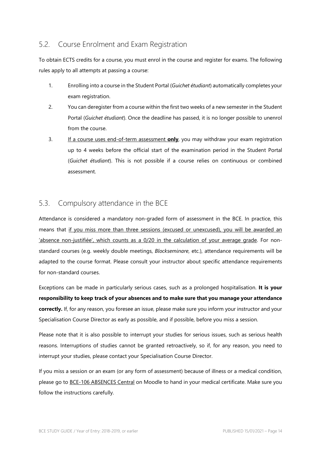## <span id="page-19-0"></span>5.2. Course Enrolment and Exam Registration

To obtain ECTS credits for a course, you must enrol in the course and register for exams. The following rules apply to all attempts at passing a course:

- 1. Enrolling into a course in the Student Portal (*Guichet étudiant*) automatically completes your exam registration.
- 2. You can deregister from a course within the first two weeks of a new semester in the Student Portal (*Guichet étudiant*). Once the deadline has passed, it is no longer possible to unenrol from the course.
- 3. If a course uses end-of-term assessment **only**, you may withdraw your exam registration up to 4 weeks before the official start of the examination period in the Student Portal (*Guichet étudiant*). This is not possible if a course relies on continuous or combined assessment.

## <span id="page-19-1"></span>5.3. Compulsory attendance in the BCE

Attendance is considered a mandatory non-graded form of assessment in the BCE. In practice, this means that if you miss more than three sessions (excused or unexcused), you will be awarded an 'absence non-justifiée', which counts as a 0/20 in the calculation of your average grade. For nonstandard courses (e.g. weekly double meetings, *Blockseminare*, etc.), attendance requirements will be adapted to the course format. Please consult your instructor about specific attendance requirements for non-standard courses.

Exceptions can be made in particularly serious cases, such as a prolonged hospitalisation. **It is your responsibility to keep track of your absences and to make sure that you manage your attendance correctly.** If, for any reason, you foresee an issue, please make sure you inform your instructor and your Specialisation Course Director as early as possible, and if possible, before you miss a session.

Please note that it is also possible to interrupt your studies for serious issues, such as serious health reasons. Interruptions of studies cannot be granted retroactively, so if, for any reason, you need to interrupt your studies, please contact your Specialisation Course Director.

If you miss a session or an exam (or any form of assessment) because of illness or a medical condition, please go to BCE-106 ABSENCES Central on Moodle to hand in your medical certificate. Make sure you follow the instructions carefully.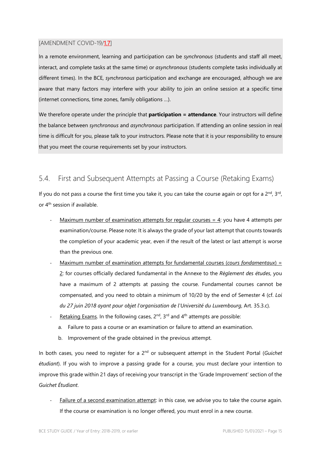#### <span id="page-20-0"></span>[AMENDMENT COVID-19/1.7]

In a remote environment, learning and participation can be *synchronous* (students and staff all meet, interact, and complete tasks at the same time) or *asynchronous* (students complete tasks individually at different times). In the BCE, *synchronous* participation and exchange are encouraged, although we are aware that many factors may interfere with your ability to join an online session at a specific time (internet connections, time zones, family obligations …).

We therefore operate under the principle that **participation = attendance**. Your instructors will define the balance between *synchronous* and *asynchronous* participation. If attending an online session in real time is difficult for you, please talk to your instructors. Please note that it is your responsibility to ensure that you meet the course requirements set by your instructors.

### <span id="page-20-1"></span>5.4. First and Subsequent Attempts at Passing a Course (Retaking Exams)

If you do not pass a course the first time you take it, you can take the course again or opt for a  $2^{nd}$ ,  $3^{rd}$ , or  $4<sup>th</sup>$  session if available.

- Maximum number of examination attempts for regular courses  $= 4$ : you have 4 attempts per examination/course. Please note: It is always the grade of your last attempt that counts towards the completion of your academic year, even if the result of the latest or last attempt is worse than the previous one.
- Maximum number of examination attempts for fundamental courses (*cours fondamentaux*) = 2: for courses officially declared fundamental in the Annexe to the *Règlement des études*, you have a maximum of 2 attempts at passing the course. Fundamental courses cannot be compensated, and you need to obtain a minimum of 10/20 by the end of Semester 4 (cf. *Loi du 27 juin 2018 ayant pour objet l'organisation de l'Université du Luxembourg*, Art. 35.3.c).
- Retaking Exams. In the following cases,  $2^{nd}$ ,  $3^{rd}$  and  $4^{th}$  attempts are possible:
	- a. Failure to pass a course or an examination or failure to attend an examination.
	- b. Improvement of the grade obtained in the previous attempt.

In both cases, you need to register for a 2nd or subsequent attempt in the Student Portal (*Guichet étudiant*). If you wish to improve a passing grade for a course, you must declare your intention to improve this grade within 21 days of receiving your transcript in the 'Grade Improvement' section of the *Guichet Étudiant*.

Failure of a second examination attempt: in this case, we advise you to take the course again. If the course or examination is no longer offered, you must enrol in a new course.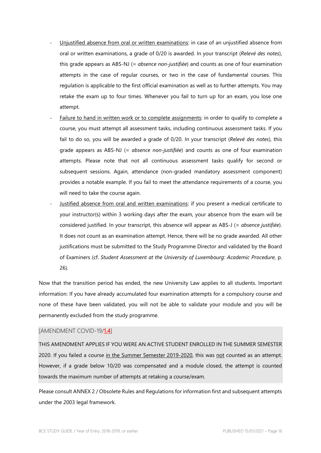- Unjustified absence from oral or written examinations: in case of an unjustified absence from oral or written examinations, a grade of 0/20 is awarded. In your transcript (*Relevé des notes*), this grade appears as ABS-NJ (= *absence non-justifiée*) and counts as one of four examination attempts in the case of regular courses, or two in the case of fundamental courses. This regulation is applicable to the first official examination as well as to further attempts. You may retake the exam up to four times. Whenever you fail to turn up for an exam, you lose one attempt.
- Failure to hand in written work or to complete assignments: in order to qualify to complete a course, you must attempt all assessment tasks, including continuous assessment tasks. If you fail to do so, you will be awarded a grade of 0/20. In your transcript (*Relevé des notes*), this grade appears as ABS-NJ (= *absence non-justifiée*) and counts as one of four examination attempts. Please note that not all continuous assessment tasks qualify for second or subsequent sessions. Again, attendance (non-graded mandatory assessment component) provides a notable example. If you fail to meet the attendance requirements of a course, you will need to take the course again.
- Justified absence from oral and written examinations: if you present a medical certificate to your instructor(s) within 3 working days after the exam, your absence from the exam will be considered justified. In your transcript, this absence will appear as ABS-J (= *absence justifiée*). It does not count as an examination attempt. Hence, there will be no grade awarded. All other justifications must be submitted to the Study Programme Director and validated by the Board of Examiners (cf. *Student Assessment at the University of Luxembourg: Academic Procedure*, p. 26).

Now that the transition period has ended, the new University Law applies to all students. Important information: If you have already accumulated four examination attempts for a compulsory course and none of these have been validated, you will not be able to validate your module and you will be permanently excluded from the study programme.

#### <span id="page-21-0"></span>[AMENDMENT COVID-19/1.4]

THIS AMENDMENT APPLIES IF YOU WERE AN ACTIVE STUDENT ENROLLED IN THE SUMMER SEMESTER 2020. If you failed a course in the Summer Semester 2019-2020, this was not counted as an attempt. However, if a grade below 10/20 was compensated and a module closed, the attempt is counted towards the maximum number of attempts at retaking a course/exam.

Please consult ANNEX 2 / Obsolete Rules and Regulations for information first and subsequent attempts under the 2003 legal framework.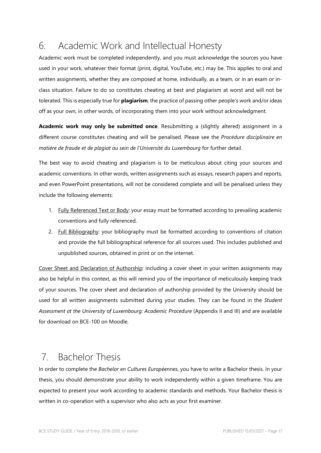# <span id="page-22-0"></span>6. Academic Work and Intellectual Honesty

Academic work must be completed independently, and you must acknowledge the sources you have used in your work, whatever their format (print, digital, YouTube, etc.) may be. This applies to oral and written assignments, whether they are composed at home, individually, as a team, or in an exam or inclass situation. Failure to do so constitutes cheating at best and plagiarism at worst and will not be tolerated. This is especially true for **plagiarism**, the practice of passing other people's work and/or ideas off as your own, in other words, of incorporating them into your work without acknowledgment.

**Academic work may only be submitted once**. Resubmitting a (slightly altered) assignment in a different course constitutes cheating and will be penalised. Please see the *Procédure disciplinaire en matière de fraude et de plagiat au sein de l'Université du Luxembourg* for further detail.

The best way to avoid cheating and plagiarism is to be meticulous about citing your sources and academic conventions. In other words, written assignments such as essays, research papers and reports, and even PowerPoint presentations, will not be considered complete and will be penalised unless they include the following elements:

- 1. Fully Referenced Text or Body: your essay must be formatted according to prevailing academic conventions and fully referenced.
- 2. Full Bibliography: your bibliography must be formatted according to conventions of citation and provide the full bibliographical reference for all sources used. This includes published and unpublished sources, obtained in print or on the internet.

Cover Sheet and Declaration of Authorship: including a cover sheet in your written assignments may also be helpful in this context, as this will remind you of the importance of meticulously keeping track of your sources. The cover sheet and declaration of authorship provided by the University should be used for all written assignments submitted during your studies. They can be found in the *Student Assessment at the University of Luxembourg: Academic Procedure* (Appendix II and III) and are available for download on BCE-100 on Moodle.

# <span id="page-22-1"></span>7. Bachelor Thesis

In order to complete the *Bachelor en Cultures Européennes*, you have to write a Bachelor thesis. In your thesis, you should demonstrate your ability to work independently within a given timeframe. You are expected to present your work according to academic standards and methods. Your Bachelor thesis is written in co-operation with a supervisor who also acts as your first examiner.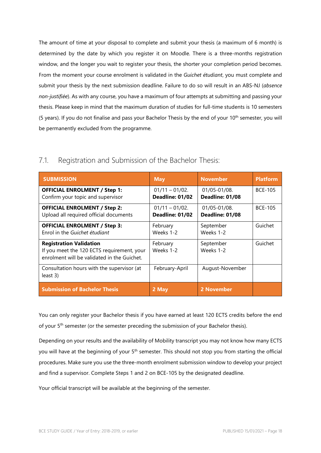The amount of time at your disposal to complete and submit your thesis (a maximum of 6 month) is determined by the date by which you register it on Moodle. There is a three-months registration window, and the longer you wait to register your thesis, the shorter your completion period becomes. From the moment your course enrolment is validated in the *Guichet étudiant*, you must complete and submit your thesis by the next submission deadline. Failure to do so will result in an ABS-NJ (*absence non-justifiée*). As with any course, you have a maximum of four attempts at submitting and passing your thesis. Please keep in mind that the maximum duration of studies for full-time students is 10 semesters (5 years). If you do not finalise and pass your Bachelor Thesis by the end of your  $10<sup>th</sup>$  semester, you will be permanently excluded from the programme.

| <b>SUBMISSION</b>                                                                                                           | <b>May</b>                           | <b>November</b>                 | <b>Platform</b> |
|-----------------------------------------------------------------------------------------------------------------------------|--------------------------------------|---------------------------------|-----------------|
| <b>OFFICIAL ENROLMENT / Step 1:</b><br>Confirm your topic and supervisor                                                    | $01/11 - 01/02$ .<br>Deadline: 01/02 | 01/05-01/08.<br>Deadline: 01/08 | <b>BCE-105</b>  |
| <b>OFFICIAL ENROLMENT / Step 2:</b><br>Upload all required official documents                                               | $01/11 - 01/02$ .<br>Deadline: 01/02 | 01/05-01/08.<br>Deadline: 01/08 | <b>BCE-105</b>  |
| <b>OFFICIAL ENROLMENT / Step 3:</b><br>Enrol in the Guichet étudiant                                                        | February<br>Weeks 1-2                | September<br>Weeks 1-2          | Guichet         |
| <b>Registration Validation</b><br>If you meet the 120 ECTS requirement, your<br>enrolment will be validated in the Guichet. | February<br>Weeks 1-2                | September<br>Weeks 1-2          | Guichet         |
| Consultation hours with the supervisor (at<br>least 3)                                                                      | February-April                       | August-November                 |                 |
| <b>Submission of Bachelor Thesis</b>                                                                                        | 2 May                                | 2 November                      |                 |

<span id="page-23-0"></span>7.1. Registration and Submission of the Bachelor Thesis:

You can only register your Bachelor thesis if you have earned at least 120 ECTS credits before the end of your 5<sup>th</sup> semester (or the semester preceding the submission of your Bachelor thesis).

Depending on your results and the availability of Mobility transcript you may not know how many ECTS you will have at the beginning of your 5<sup>th</sup> semester. This should not stop you from starting the official procedures. Make sure you use the three-month enrolment submission window to develop your project and find a supervisor. Complete Steps 1 and 2 on BCE-105 by the designated deadline.

Your official transcript will be available at the beginning of the semester.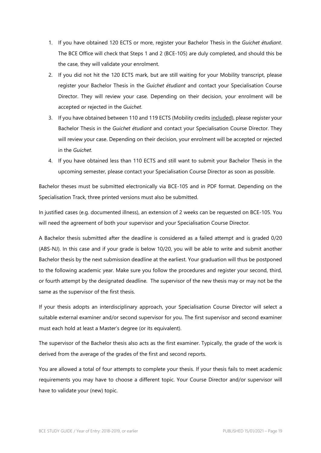- 1. If you have obtained 120 ECTS or more, register your Bachelor Thesis in the *Guichet étudiant*. The BCE Office will check that Steps 1 and 2 (BCE-105) are duly completed, and should this be the case, they will validate your enrolment.
- 2. If you did not hit the 120 ECTS mark, but are still waiting for your Mobility transcript, please register your Bachelor Thesis in the *Guichet étudiant* and contact your Specialisation Course Director. They will review your case. Depending on their decision, your enrolment will be accepted or rejected in the *Guichet*.
- 3. If you have obtained between 110 and 119 ECTS (Mobility credits included), please register your Bachelor Thesis in the *Guichet étudiant* and contact your Specialisation Course Director. They will review your case. Depending on their decision, your enrolment will be accepted or rejected in the *Guichet*.
- 4. If you have obtained less than 110 ECTS and still want to submit your Bachelor Thesis in the upcoming semester, please contact your Specialisation Course Director as soon as possible.

Bachelor theses must be submitted electronically via BCE-105 and in PDF format. Depending on the Specialisation Track, three printed versions must also be submitted.

In justified cases (e.g. documented illness), an extension of 2 weeks can be requested on BCE-105. You will need the agreement of both your supervisor and your Specialisation Course Director.

A Bachelor thesis submitted after the deadline is considered as a failed attempt and is graded 0/20 (ABS-NJ). In this case and if your grade is below 10/20, you will be able to write and submit another Bachelor thesis by the next submission deadline at the earliest. Your graduation will thus be postponed to the following academic year. Make sure you follow the procedures and register your second, third, or fourth attempt by the designated deadline. The supervisor of the new thesis may or may not be the same as the supervisor of the first thesis.

If your thesis adopts an interdisciplinary approach, your Specialisation Course Director will select a suitable external examiner and/or second supervisor for you. The first supervisor and second examiner must each hold at least a Master's degree (or its equivalent).

The supervisor of the Bachelor thesis also acts as the first examiner. Typically, the grade of the work is derived from the average of the grades of the first and second reports.

You are allowed a total of four attempts to complete your thesis. If your thesis fails to meet academic requirements you may have to choose a different topic. Your Course Director and/or supervisor will have to validate your (new) topic.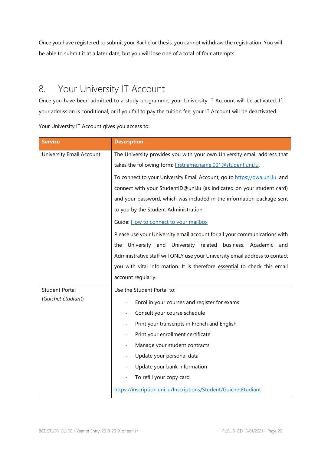Once you have registered to submit your Bachelor thesis, you cannot withdraw the registration. You will be able to submit it at a later date, but you will lose one of a total of four attempts.

# <span id="page-25-0"></span>8. Your University IT Account

Once you have been admitted to a study programme, your University IT Account will be activated. If your admission is conditional, or if you fail to pay the tuition fee, your IT Account will be deactivated.

Your University IT Account gives you access to:

| <b>Service</b>           | <b>Description</b>                                                          |  |  |  |
|--------------------------|-----------------------------------------------------------------------------|--|--|--|
| University Email Account | The University provides you with your own University email address that     |  |  |  |
|                          | takes the following form: firstname.name.001@student.uni.lu.                |  |  |  |
|                          | To connect to your University Email Account, go to https://owa.uni.lu and   |  |  |  |
|                          | connect with your StudentID@uni.lu (as indicated on your student card)      |  |  |  |
|                          | and your password, which was included in the information package sent       |  |  |  |
|                          | to you by the Student Administration.                                       |  |  |  |
|                          | Guide: How to connect to your mailbox                                       |  |  |  |
|                          | Please use your University email account for all your communications with   |  |  |  |
|                          | University and University related business. Academic and<br>the             |  |  |  |
|                          | Administrative staff will ONLY use your University email address to contact |  |  |  |
|                          | you with vital information. It is therefore essential to check this email   |  |  |  |
|                          | account regularly.                                                          |  |  |  |
| <b>Student Portal</b>    | Use the Student Portal to:                                                  |  |  |  |
| (Guichet étudiant)       | Enrol in your courses and register for exams                                |  |  |  |
|                          | Consult your course schedule                                                |  |  |  |
|                          | Print your transcripts in French and English                                |  |  |  |
|                          | Print your enrollment certificate                                           |  |  |  |
|                          | Manage your student contracts<br>$\overline{\phantom{a}}$                   |  |  |  |
|                          | Update your personal data                                                   |  |  |  |
|                          | Update your bank information                                                |  |  |  |
|                          | To refill your copy card                                                    |  |  |  |
|                          | https://inscription.uni.lu/Inscriptions/Student/GuichetEtudiant             |  |  |  |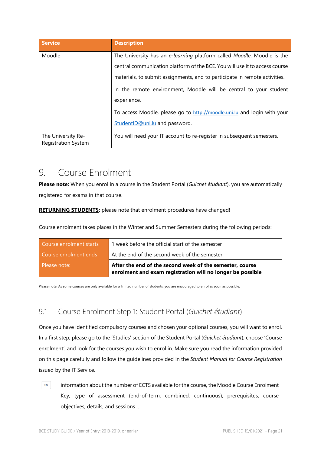| <b>Service</b>                                   | <b>Description</b>                                                          |
|--------------------------------------------------|-----------------------------------------------------------------------------|
| Moodle                                           | The University has an e-learning platform called Moodle. Moodle is the      |
|                                                  | central communication platform of the BCE. You will use it to access course |
|                                                  | materials, to submit assignments, and to participate in remote activities.  |
|                                                  | In the remote environment, Moodle will be central to your student           |
|                                                  | experience.                                                                 |
|                                                  | To access Moodle, please go to http://moodle.uni.lu and login with your     |
|                                                  | StudentID@uni.lu and password.                                              |
| The University Re-<br><b>Registration System</b> | You will need your IT account to re-register in subsequent semesters.       |

# <span id="page-26-0"></span>9. Course Enrolment

**Please note:** When you enrol in a course in the Student Portal (*Guichet étudiant*), you are automatically registered for exams in that course.

**RETURNING STUDENTS:** please note that enrolment procedures have changed!

Course enrolment takes places in the Winter and Summer Semesters during the following periods:

| Course enrolment starts | 1 week before the official start of the semester                                                                       |
|-------------------------|------------------------------------------------------------------------------------------------------------------------|
| Course enrolment ends   | At the end of the second week of the semester                                                                          |
| Please note:            | After the end of the second week of the semester, course<br>enrolment and exam registration will no longer be possible |

Please note: As some courses are only available for a limited number of students, you are encouraged to enrol as soon as possible.

# <span id="page-26-1"></span>9.1 Course Enrolment Step 1: Student Portal (*Guichet étudiant*)

Once you have identified compulsory courses and chosen your optional courses, you will want to enrol. In a first step, please go to the 'Studies' section of the Student Portal (*Guichet étudiant*), choose 'Course enrolment', and look for the courses you wish to enrol in. Make sure you read the information provided on this page carefully and follow the guidelines provided in the *Student Manual for Course Registration*  issued by the IT Service.

information about the number of ECTS available for the course, the Moodle Course Enrolment Key, type of assessment (end-of-term, combined, continuous), prerequisites, course objectives, details, and sessions …

 $\odot$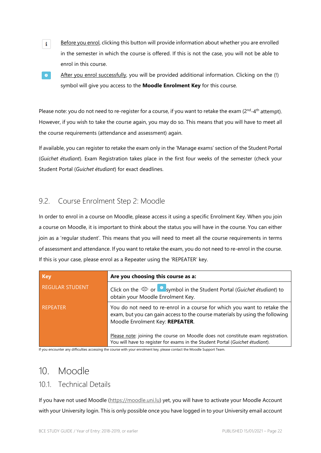- Before you enrol, clicking this button will provide information about whether you are enrolled in the semester in which the course is offered. If this is not the case, you will not be able to enrol in this course.
- $\bullet$

 $\mathbf{i}$ 

After you enrol successfully, you will be provided additional information. Clicking on the (!) symbol will give you access to the **Moodle Enrolment Key** for this course.

Please note: you do not need to re-register for a course, if you want to retake the exam ( $2^{nd}$ - $4^{th}$  attempt). However, if you wish to take the course again, you may do so. This means that you will have to meet all the course requirements (attendance and assessment) again.

If available, you can register to retake the exam only in the 'Manage exams' section of the Student Portal (*Guichet étudiant*). Exam Registration takes place in the first four weeks of the semester (check your Student Portal (*Guichet étudiant*) for exact deadlines.

## <span id="page-27-0"></span>9.2. Course Enrolment Step 2: Moodle

In order to enrol in a course on Moodle, please access it using a specific Enrolment Key. When you join a course on Moodle, it is important to think about the status you will have in the course. You can either join as a 'regular student'. This means that you will need to meet all the course requirements in terms of assessment and attendance. If you want to retake the exam, you do not need to re-enrol in the course. If this is your case, please enrol as a Repeater using the 'REPEATER' key.

| <b>Key</b>             | Are you choosing this course as a:                                                                                                                                                          |
|------------------------|---------------------------------------------------------------------------------------------------------------------------------------------------------------------------------------------|
| <b>REGULAR STUDENT</b> | Click on the $\circledcirc$ or $\bullet$ symbol in the Student Portal (Guichet étudiant) to<br>obtain your Moodle Enrolment Key.                                                            |
| <b>REPEATER</b>        | You do not need to re-enrol in a course for which you want to retake the<br>exam, but you can gain access to the course materials by using the following<br>Moodle Enrolment Key: REPEATER. |
|                        | Please note: joining the course on Moodle does not constitute exam registration.<br>You will have to register for exams in the Student Portal (Guichet étudiant).                           |

If you encounter any difficulties accessing the course with your enrolment key, please contact the Moodle Support Team.

# <span id="page-27-1"></span>10. Moodle

### <span id="page-27-2"></span>10.1. Technical Details

If you have not used Moodle [\(https://moodle.uni.lu\)](https://moodle.uni.lu/) yet, you will have to activate your Moodle Account with your University login. This is only possible once you have logged in to your University email account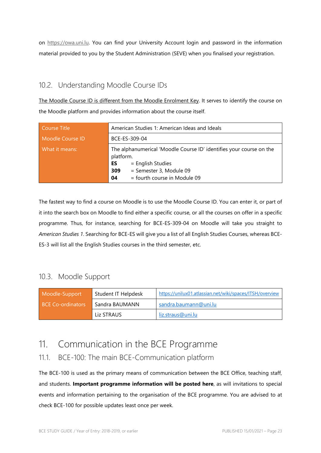on [https://owa.uni.lu.](https://owa.uni.lu/) You can find your University Account login and password in the information material provided to you by the Student Administration (SEVE) when you finalised your registration.

## <span id="page-28-0"></span>10.2. Understanding Moodle Course IDs

The Moodle Course ID is different from the Moodle Enrolment Key. It serves to identify the course on the Moodle platform and provides information about the course itself.

| <b>Course Title</b> | American Studies 1: American Ideas and Ideals                                                                                                                                       |  |  |
|---------------------|-------------------------------------------------------------------------------------------------------------------------------------------------------------------------------------|--|--|
| Moodle Course ID    | BCE-ES-309-04                                                                                                                                                                       |  |  |
| What it means:      | The alphanumerical 'Moodle Course ID' identifies your course on the<br>platform.<br>= English Studies<br>ES<br>= Semester 3, Module 09<br>309<br>= fourth course in Module 09<br>04 |  |  |

The fastest way to find a course on Moodle is to use the Moodle Course ID. You can enter it, or part of it into the search box on Moodle to find either a specific course, or all the courses on offer in a specific programme. Thus, for instance, searching for BCE-ES-309-04 on Moodle will take you straight to *American Studies 1*. Searching for BCE-ES will give you a list of all English Studies Courses, whereas BCE-ES-3 will list all the English Studies courses in the third semester, etc.

## <span id="page-28-1"></span>10.3. Moodle Support

| Moodle-Support           | Student IT Helpdesk | https://unilux01.atlassian.net/wiki/spaces/ITSH/overview |
|--------------------------|---------------------|----------------------------------------------------------|
| <b>BCE Co-ordinators</b> | Sandra BAUMANN      | sandra.baumann@uni.lu                                    |
|                          | Liz STRAUS          | liz.straus@uni.lu                                        |

# <span id="page-28-2"></span>11. Communication in the BCE Programme

## <span id="page-28-3"></span>11.1. BCE-100: The main BCE-Communication platform

The BCE-100 is used as the primary means of communication between the BCE Office, teaching staff, and students. **Important programme information will be posted here**, as will invitations to special events and information pertaining to the organisation of the BCE programme. You are advised to at check BCE-100 for possible updates least once per week.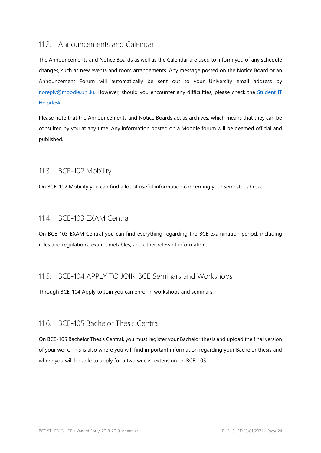### <span id="page-29-0"></span>11.2. Announcements and Calendar

The Announcements and Notice Boards as well as the Calendar are used to inform you of any schedule changes, such as new events and room arrangements. Any message posted on the Notice Board or an Announcement Forum will automatically be sent out to your University email address by [noreply@moodle.uni.lu.](mailto:noreply@moodle.uni.lu) However, should you encounter any difficulties, please check the [Student IT](https://unilux01.atlassian.net/wiki/spaces/ITSH/overview)  [Helpdesk.](https://unilux01.atlassian.net/wiki/spaces/ITSH/overview) 

Please note that the Announcements and Notice Boards act as archives, which means that they can be consulted by you at any time. Any information posted on a Moodle forum will be deemed official and published.

### <span id="page-29-1"></span>11.3. BCE-102 Mobility

On BCE-102 Mobility you can find a lot of useful information concerning your semester abroad.

### <span id="page-29-2"></span>11.4. BCE-103 EXAM Central

On BCE-103 EXAM Central you can find everything regarding the BCE examination period, including rules and regulations, exam timetables, and other relevant information.

### <span id="page-29-3"></span>11.5. BCE-104 APPLY TO JOIN BCE Seminars and Workshops

Through BCE-104 Apply to Join you can enrol in workshops and seminars.

### <span id="page-29-4"></span>11.6. BCE-105 Bachelor Thesis Central

On BCE-105 Bachelor Thesis Central, you must register your Bachelor thesis and upload the final version of your work. This is also where you will find important information regarding your Bachelor thesis and where you will be able to apply for a two weeks' extension on BCE-105.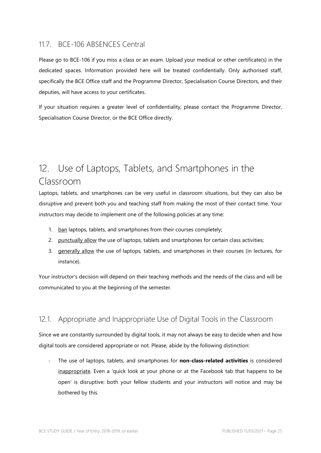### <span id="page-30-0"></span>11.7. BCE-106 ABSENCES Central

Please go to BCE-106 if you miss a class or an exam. Upload your medical or other certificate(s) in the dedicated spaces. Information provided here will be treated confidentially. Only authorised staff, specifically the BCE Office staff and the Programme Director, Specialisation Course Directors, and their deputies, will have access to your certificates.

If your situation requires a greater level of confidentiality, please contact the Programme Director, Specialisation Course Director, or the BCE Office directly.

# <span id="page-30-1"></span>12. Use of Laptops, Tablets, and Smartphones in the Classroom

Laptops, tablets, and smartphones can be very useful in classroom situations, but they can also be disruptive and prevent both you and teaching staff from making the most of their contact time. Your instructors may decide to implement one of the following policies at any time:

- 1. ban laptops, tablets, and smartphones from their courses completely;
- 2. punctually allow the use of laptops, tablets and smartphones for certain class activities;
- 3. generally allow the use of laptops, tablets, and smartphones in their courses (in lectures, for instance).

Your instructor's decision will depend on their teaching methods and the needs of the class and will be communicated to you at the beginning of the semester.

### <span id="page-30-2"></span>12.1. Appropriate and Inappropriate Use of Digital Tools in the Classroom

Since we are constantly surrounded by digital tools, it may not always be easy to decide when and how digital tools are considered appropriate or not. Please, abide by the following distinction:

- The use of laptops, tablets, and smartphones for **non-class-related activities** is considered inappropriate. Even a 'quick look at your phone or at the Facebook tab that happens to be open' is disruptive: both your fellow students and your instructors will notice and may be bothered by this.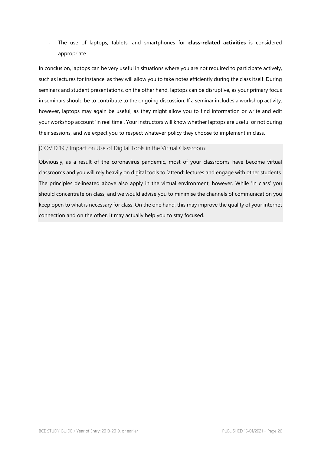- The use of laptops, tablets, and smartphones for **class-related activities** is considered appropriate.

In conclusion, laptops can be very useful in situations where you are not required to participate actively, such as lectures for instance, as they will allow you to take notes efficiently during the class itself. During seminars and student presentations, on the other hand, laptops can be disruptive, as your primary focus in seminars should be to contribute to the ongoing discussion. If a seminar includes a workshop activity, however, laptops may again be useful, as they might allow you to find information or write and edit your workshop account 'in real time'. Your instructors will know whether laptops are useful or not during their sessions, and we expect you to respect whatever policy they choose to implement in class.

#### <span id="page-31-0"></span>[COVID 19 / Impact on Use of Digital Tools in the Virtual Classroom]

Obviously, as a result of the coronavirus pandemic, most of your classrooms have become virtual classrooms and you will rely heavily on digital tools to 'attend' lectures and engage with other students. The principles delineated above also apply in the virtual environment, however. While 'in class' you should concentrate on class, and we would advise you to minimise the channels of communication you keep open to what is necessary for class. On the one hand, this may improve the quality of your internet connection and on the other, it may actually help you to stay focused.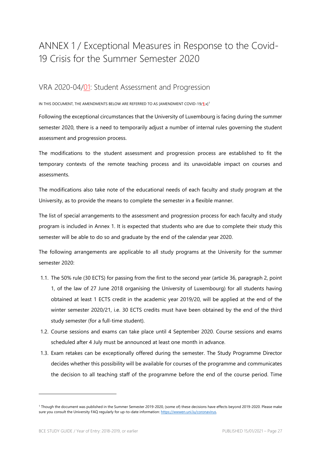# <span id="page-32-0"></span>ANNEX 1 / Exceptional Measures in Response to the Covid-19 Crisis for the Summer Semester 2020

### <span id="page-32-1"></span>VRA 2020-04/01: Student Assessment and Progression

IN THIS DOCUMENT, THE AMENDMENTS BELOW ARE REFERRED TO AS [AMENDMENT COVID-19/**1**.x][1](#page-32-2)

Following the exceptional circumstances that the University of Luxembourg is facing during the summer semester 2020, there is a need to temporarily adjust a number of internal rules governing the student assessment and progression process.

The modifications to the student assessment and progression process are established to fit the temporary contexts of the remote teaching process and its unavoidable impact on courses and assessments.

The modifications also take note of the educational needs of each faculty and study program at the University, as to provide the means to complete the semester in a flexible manner.

The list of special arrangements to the assessment and progression process for each faculty and study program is included in Annex 1. It is expected that students who are due to complete their study this semester will be able to do so and graduate by the end of the calendar year 2020.

The following arrangements are applicable to all study programs at the University for the summer semester 2020:

- 1.1. The 50% rule (30 ECTS) for passing from the first to the second year (article 36, paragraph 2, point 1, of the law of 27 June 2018 organising the University of Luxembourg) for all students having obtained at least 1 ECTS credit in the academic year 2019/20, will be applied at the end of the winter semester 2020/21, i.e. 30 ECTS credits must have been obtained by the end of the third study semester (for a full-time student).
- 1.2. Course sessions and exams can take place until 4 September 2020. Course sessions and exams scheduled after 4 July must be announced at least one month in advance.
- 1.3. Exam retakes can be exceptionally offered during the semester. The Study Programme Director decides whether this possibility will be available for courses of the programme and communicates the decision to all teaching staff of the programme before the end of the course period. Time

<span id="page-32-2"></span><sup>1</sup> Though the document was published in the Summer Semester 2019-2020, (some of) these decisions have effects beyond 2019-2020. Please make sure you consult the University FAQ regularly for up-to-date information: https://wwwen.uni.lu/coronavirus.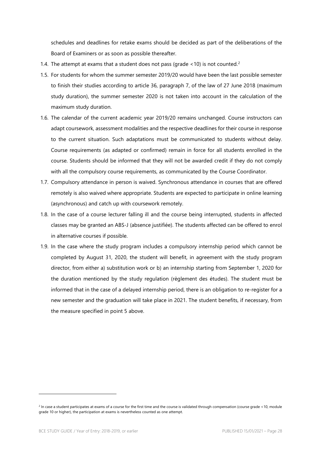schedules and deadlines for retake exams should be decided as part of the deliberations of the Board of Examiners or as soon as possible thereafter.

- 1.4. The attempt at exams that a student does not pass (grade  $<$  10) is not counted.<sup>[2](#page-33-0)</sup>
- 1.5. For students for whom the summer semester 2019/20 would have been the last possible semester to finish their studies according to article 36, paragraph 7, of the law of 27 June 2018 (maximum study duration), the summer semester 2020 is not taken into account in the calculation of the maximum study duration.
- 1.6. The calendar of the current academic year 2019/20 remains unchanged. Course instructors can adapt coursework, assessment modalities and the respective deadlines for their course in response to the current situation. Such adaptations must be communicated to students without delay. Course requirements (as adapted or confirmed) remain in force for all students enrolled in the course. Students should be informed that they will not be awarded credit if they do not comply with all the compulsory course requirements, as communicated by the Course Coordinator.
- 1.7. Compulsory attendance in person is waived. Synchronous attendance in courses that are offered remotely is also waived where appropriate. Students are expected to participate in online learning (asynchronous) and catch up with coursework remotely.
- 1.8. In the case of a course lecturer falling ill and the course being interrupted, students in affected classes may be granted an ABS-J (absence justifiée). The students affected can be offered to enrol in alternative courses if possible.
- 1.9. In the case where the study program includes a compulsory internship period which cannot be completed by August 31, 2020, the student will benefit, in agreement with the study program director, from either a) substitution work or b) an internship starting from September 1, 2020 for the duration mentioned by the study regulation (règlement des études). The student must be informed that in the case of a delayed internship period, there is an obligation to re-register for a new semester and the graduation will take place in 2021. The student benefits, if necessary, from the measure specified in point 5 above.

<span id="page-33-0"></span> $2$  In case a student participates at exams of a course for the first time and the course is validated through compensation (course grade <10, module grade 10 or higher), the participation at exams is nevertheless counted as one attempt.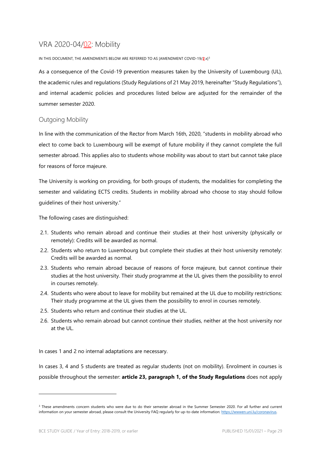# <span id="page-34-0"></span>VRA 2020-04/02: Mobility

IN THIS DOCUMENT, THE AMENDMENTS BELOW ARE REFERRED TO AS [AMENDMENT COVID-19/**2**.x][3](#page-34-2)

As a consequence of the Covid-19 prevention measures taken by the University of Luxembourg (UL), the academic rules and regulations (Study Regulations of 21 May 2019, hereinafter "Study Regulations"), and internal academic policies and procedures listed below are adjusted for the remainder of the summer semester 2020.

### <span id="page-34-1"></span>Outgoing Mobility

In line with the communication of the Rector from March 16th, 2020, "students in mobility abroad who elect to come back to Luxembourg will be exempt of future mobility if they cannot complete the full semester abroad. This applies also to students whose mobility was about to start but cannot take place for reasons of force majeure.

The University is working on providing, for both groups of students, the modalities for completing the semester and validating ECTS credits. Students in mobility abroad who choose to stay should follow guidelines of their host university."

The following cases are distinguished:

- 2.1. Students who remain abroad and continue their studies at their host university (physically or remotely): Credits will be awarded as normal.
- 2.2. Students who return to Luxembourg but complete their studies at their host university remotely: Credits will be awarded as normal.
- 2.3. Students who remain abroad because of reasons of force majeure, but cannot continue their studies at the host university. Their study programme at the UL gives them the possibility to enrol in courses remotely.
- 2.4. Students who were about to leave for mobility but remained at the UL due to mobility restrictions: Their study programme at the UL gives them the possibility to enrol in courses remotely.
- 2.5. Students who return and continue their studies at the UL.
- 2.6. Students who remain abroad but cannot continue their studies, neither at the host university nor at the UL.

In cases 1 and 2 no internal adaptations are necessary.

In cases 3, 4 and 5 students are treated as regular students (not on mobility). Enrolment in courses is possible throughout the semester: **article 23, paragraph 1, of the Study Regulations** does not apply

<span id="page-34-2"></span><sup>&</sup>lt;sup>3</sup> These amendments concern students who were due to do their semester abroad in the Summer Semester 2020. For all further and current information on your semester abroad, please consult the University FAQ regularly for up-to-date information: https://wwwen.uni.lu/coronavirus.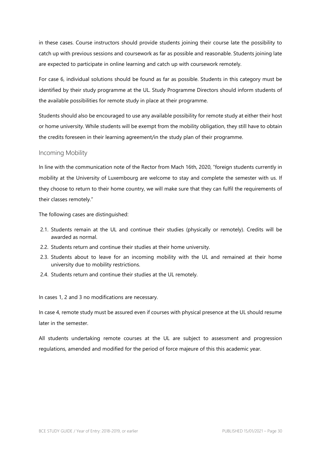in these cases. Course instructors should provide students joining their course late the possibility to catch up with previous sessions and coursework as far as possible and reasonable. Students joining late are expected to participate in online learning and catch up with coursework remotely.

For case 6, individual solutions should be found as far as possible. Students in this category must be identified by their study programme at the UL. Study Programme Directors should inform students of the available possibilities for remote study in place at their programme.

Students should also be encouraged to use any available possibility for remote study at either their host or home university. While students will be exempt from the mobility obligation, they still have to obtain the credits foreseen in their learning agreement/in the study plan of their programme.

#### <span id="page-35-0"></span>Incoming Mobility

In line with the communication note of the Rector from Mach 16th, 2020, "foreign students currently in mobility at the University of Luxembourg are welcome to stay and complete the semester with us. If they choose to return to their home country, we will make sure that they can fulfil the requirements of their classes remotely."

The following cases are distinguished:

- 2.1. Students remain at the UL and continue their studies (physically or remotely). Credits will be awarded as normal.
- 2.2. Students return and continue their studies at their home university.
- 2.3. Students about to leave for an incoming mobility with the UL and remained at their home university due to mobility restrictions.
- 2.4. Students return and continue their studies at the UL remotely.

In cases 1, 2 and 3 no modifications are necessary.

In case 4, remote study must be assured even if courses with physical presence at the UL should resume later in the semester.

All students undertaking remote courses at the UL are subject to assessment and progression regulations, amended and modified for the period of force majeure of this this academic year.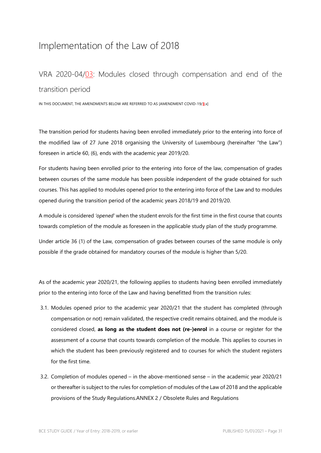# <span id="page-36-0"></span>Implementation of the Law of 2018

# <span id="page-36-1"></span>VRA 2020-04/03: Modules closed through compensation and end of the transition period

IN THIS DOCUMENT, THE AMENDMENTS BELOW ARE REFERRED TO AS [AMENDMENT COVID-19/**3**.x]

The transition period for students having been enrolled immediately prior to the entering into force of the modified law of 27 June 2018 organising the University of Luxembourg (hereinafter "the Law") foreseen in article 60, (6), ends with the academic year 2019/20.

For students having been enrolled prior to the entering into force of the law, compensation of grades between courses of the same module has been possible independent of the grade obtained for such courses. This has applied to modules opened prior to the entering into force of the Law and to modules opened during the transition period of the academic years 2018/19 and 2019/20.

A module is considered *'opened'* when the student enrols for the first time in the first course that counts towards completion of the module as foreseen in the applicable study plan of the study programme.

Under article 36 (1) of the Law, compensation of grades between courses of the same module is only possible if the grade obtained for mandatory courses of the module is higher than 5/20.

As of the academic year 2020/21, the following applies to students having been enrolled immediately prior to the entering into force of the Law and having benefitted from the transition rules:

- 3.1. Modules opened prior to the academic year 2020/21 that the student has completed (through compensation or not) remain validated, the respective credit remains obtained, and the module is considered closed, **as long as the student does not (re-)enrol** in a course or register for the assessment of a course that counts towards completion of the module. This applies to courses in which the student has been previously registered and to courses for which the student registers for the first time.
- 3.2. Completion of modules opened in the above-mentioned sense in the academic year 2020/21 or thereafter is subject to the rules for completion of modules of the Law of 2018 and the applicable provisions of the Study Regulations.ANNEX 2 / Obsolete Rules and Regulations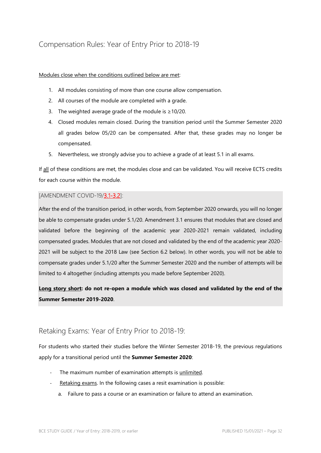## <span id="page-37-0"></span>Compensation Rules: Year of Entry Prior to 2018-19

#### Modules close when the conditions outlined below are met:

- 1. All modules consisting of more than one course allow compensation.
- 2. All courses of the module are completed with a grade.
- 3. The weighted average grade of the module is ≥10/20.
- 4. Closed modules remain closed. During the transition period until the Summer Semester 2020 all grades below 05/20 can be compensated. After that, these grades may no longer be compensated.
- 5. Nevertheless, we strongly advise you to achieve a grade of at least 5.1 in all exams.

If all of these conditions are met, the modules close and can be validated. You will receive ECTS credits for each course within the module.

#### <span id="page-37-1"></span>[AMENDMENT COVID-19/3.1-3.2]:

After the end of the transition period, in other words, from September 2020 onwards, you will no longer be able to compensate grades under 5.1/20. Amendment 3.1 ensures that modules that are closed and validated before the beginning of the academic year 2020-2021 remain validated, including compensated grades. Modules that are not closed and validated by the end of the academic year 2020- 2021 will be subject to the 2018 Law (see Section 6.2 below). In other words, you will not be able to compensate grades under 5.1/20 after the Summer Semester 2020 and the number of attempts will be limited to 4 altogether (including attempts you made before September 2020).

### **Long story short: do not re-open a module which was closed and validated by the end of the Summer Semester 2019-2020**.

### <span id="page-37-2"></span>Retaking Exams: Year of Entry Prior to 2018-19:

For students who started their studies before the Winter Semester 2018-19, the previous regulations apply for a transitional period until the **Summer Semester 2020**:

- The maximum number of examination attempts is unlimited.
- Retaking exams. In the following cases a resit examination is possible:
	- a. Failure to pass a course or an examination or failure to attend an examination.